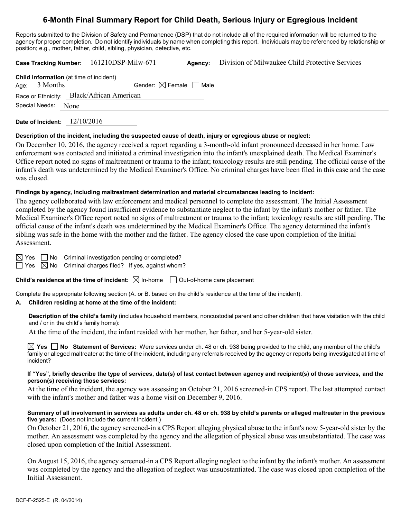# **6-Month Final Summary Report for Child Death, Serious Injury or Egregious Incident**

Reports submitted to the Division of Safety and Permanence (DSP) that do not include all of the required information will be returned to the agency for proper completion. Do not identify individuals by name when completing this report. Individuals may be referenced by relationship or position; e.g., mother, father, child, sibling, physician, detective, etc.

|                |                                                                   | Case Tracking Number: 161210DSP-Milw-671  | Agency: | Division of Milwaukee Child Protective Services |
|----------------|-------------------------------------------------------------------|-------------------------------------------|---------|-------------------------------------------------|
|                | <b>Child Information</b> (at time of incident)<br>Age: $3$ Months | Gender: $\boxtimes$ Female $\Box$ Male    |         |                                                 |
| Special Needs: | None                                                              | Race or Ethnicity: Black/African American |         |                                                 |

**Date of Incident:** 12/10/2016

# **Description of the incident, including the suspected cause of death, injury or egregious abuse or neglect:**

On December 10, 2016, the agency received a report regarding a 3-month-old infant pronounced deceased in her home. Law enforcement was contacted and initiated a criminal investigation into the infant's unexplained death. The Medical Examiner's Office report noted no signs of maltreatment or trauma to the infant; toxicology results are still pending. The official cause of the infant's death was undetermined by the Medical Examiner's Office. No criminal charges have been filed in this case and the case was closed.

# **Findings by agency, including maltreatment determination and material circumstances leading to incident:**

The agency collaborated with law enforcement and medical personnel to complete the assessment. The Initial Assessment completed by the agency found insufficient evidence to substantiate neglect to the infant by the infant's mother or father. The Medical Examiner's Office report noted no signs of maltreatment or trauma to the infant; toxicology results are still pending. The official cause of the infant's death was undetermined by the Medical Examiner's Office. The agency determined the infant's sibling was safe in the home with the mother and the father. The agency closed the case upon completion of the Initial Assessment.

 $\boxtimes$  Yes  $\Box$  No Criminal investigation pending or completed?

 $\Box$  Yes  $\boxtimes$  No Criminal charges filed? If yes, against whom?

# **Child's residence at the time of incident:**  $\boxtimes$  In-home  $\Box$  Out-of-home care placement

Complete the appropriate following section (A. or B. based on the child's residence at the time of the incident).

# **A. Children residing at home at the time of the incident:**

**Description of the child's family** (includes household members, noncustodial parent and other children that have visitation with the child and / or in the child's family home):

At the time of the incident, the infant resided with her mother, her father, and her 5-year-old sister.

**Yes No Statement of Services:** Were services under ch. 48 or ch. 938 being provided to the child, any member of the child's family or alleged maltreater at the time of the incident, including any referrals received by the agency or reports being investigated at time of incident?

#### **If "Yes", briefly describe the type of services, date(s) of last contact between agency and recipient(s) of those services, and the person(s) receiving those services:**

At the time of the incident, the agency was assessing an October 21, 2016 screened-in CPS report. The last attempted contact with the infant's mother and father was a home visit on December 9, 2016.

#### **Summary of all involvement in services as adults under ch. 48 or ch. 938 by child's parents or alleged maltreater in the previous five years:** (Does not include the current incident.)

On October 21, 2016, the agency screened-in a CPS Report alleging physical abuse to the infant's now 5-year-old sister by the mother. An assessment was completed by the agency and the allegation of physical abuse was unsubstantiated. The case was closed upon completion of the Initial Assessment.

On August 15, 2016, the agency screened-in a CPS Report alleging neglect to the infant by the infant's mother. An assessment was completed by the agency and the allegation of neglect was unsubstantiated. The case was closed upon completion of the Initial Assessment.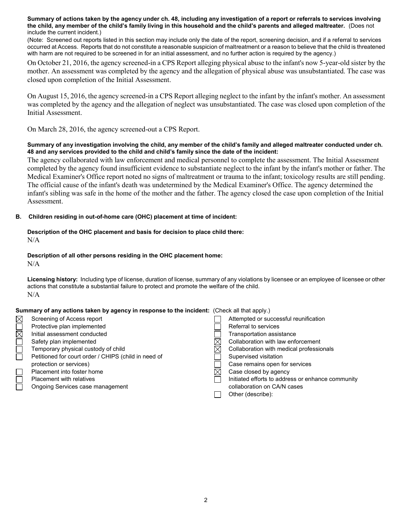**Summary of actions taken by the agency under ch. 48, including any investigation of a report or referrals to services involving the child, any member of the child's family living in this household and the child's parents and alleged maltreater.** (Does not include the current incident.)

(Note: Screened out reports listed in this section may include only the date of the report, screening decision, and if a referral to services occurred at Access. Reports that do not constitute a reasonable suspicion of maltreatment or a reason to believe that the child is threatened with harm are not required to be screened in for an initial assessment, and no further action is required by the agency.)

On October 21, 2016, the agency screened-in a CPS Report alleging physical abuse to the infant's now 5-year-old sister by the mother. An assessment was completed by the agency and the allegation of physical abuse was unsubstantiated. The case was closed upon completion of the Initial Assessment.

On August 15, 2016, the agency screened-in a CPS Report alleging neglect to the infant by the infant's mother. An assessment was completed by the agency and the allegation of neglect was unsubstantiated. The case was closed upon completion of the Initial Assessment.

On March 28, 2016, the agency screened-out a CPS Report.

# **Summary of any investigation involving the child, any member of the child's family and alleged maltreater conducted under ch. 48 and any services provided to the child and child's family since the date of the incident:**

The agency collaborated with law enforcement and medical personnel to complete the assessment. The Initial Assessment completed by the agency found insufficient evidence to substantiate neglect to the infant by the infant's mother or father. The Medical Examiner's Office report noted no signs of maltreatment or trauma to the infant; toxicology results are still pending. The official cause of the infant's death was undetermined by the Medical Examiner's Office. The agency determined the infant's sibling was safe in the home of the mother and the father. The agency closed the case upon completion of the Initial Assessment.

# **B. Children residing in out-of-home care (OHC) placement at time of incident:**

# **Description of the OHC placement and basis for decision to place child there:** N/A

# **Description of all other persons residing in the OHC placement home:**

 $N/A$ 

**Licensing history:** Including type of license, duration of license, summary of any violations by licensee or an employee of licensee or other actions that constitute a substantial failure to protect and promote the welfare of the child. N/A

# **Summary of any actions taken by agency in response to the incident:** (Check all that apply.)

| $\boxtimes$ | Screening of Access report                           | Attempted or successful reunification             |
|-------------|------------------------------------------------------|---------------------------------------------------|
|             | Protective plan implemented                          | Referral to services                              |
| $\boxtimes$ | Initial assessment conducted                         | Transportation assistance                         |
|             | Safety plan implemented                              | Collaboration with law enforcement                |
|             | Temporary physical custody of child                  | Collaboration with medical professionals          |
|             | Petitioned for court order / CHIPS (child in need of | Supervised visitation                             |
|             | protection or services)                              | Case remains open for services                    |
|             | Placement into foster home                           | Case closed by agency                             |
|             | <b>Placement with relatives</b>                      | Initiated efforts to address or enhance community |
|             | Ongoing Services case management                     | collaboration on CA/N cases                       |
|             |                                                      | Other (describe):                                 |
|             |                                                      |                                                   |